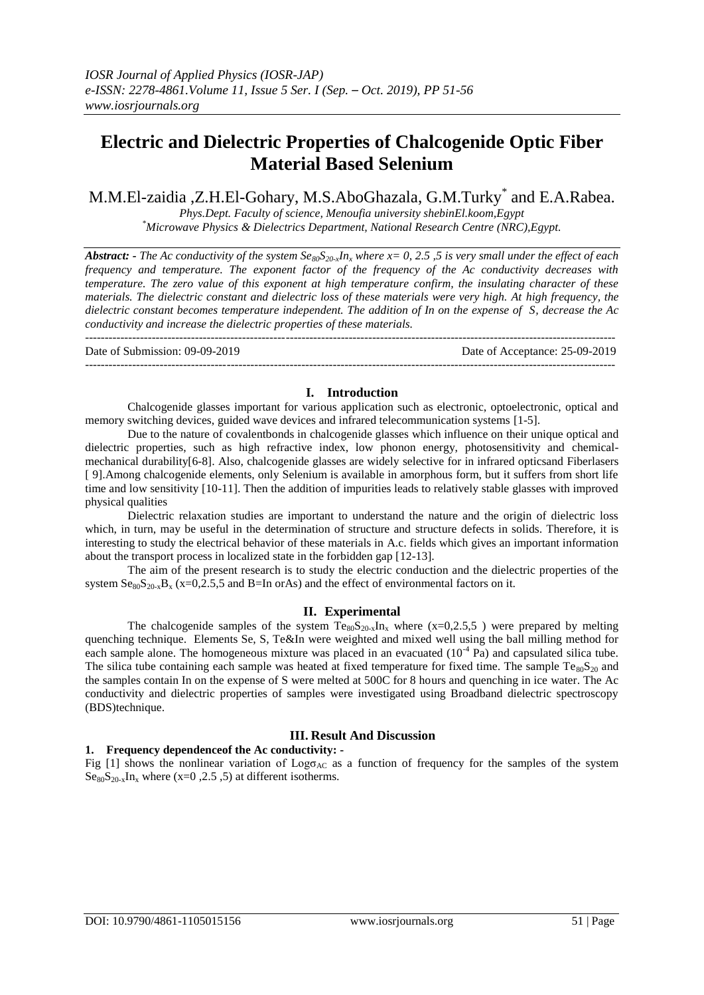# **Electric and Dielectric Properties of Chalcogenide Optic Fiber Material Based Selenium**

M.M.El-zaidia ,Z.H.El-Gohary, M.S.AboGhazala, G.M.Turky\* and E.A.Rabea.

*Phys.Dept. Faculty of science, Menoufia university shebinEl.koom,Egypt \*Microwave Physics & Dielectrics Department, National Research Centre (NRC),Egypt.*

*Abstract: - The Ac conductivity of the system*  $Se_{80}S_{20x}In_x$  *where*  $x=0, 2.5, 5$  *is very small under the effect of each*  $\overline{a}$ *frequency and temperature. The exponent factor of the frequency of the Ac conductivity decreases with temperature. The zero value of this exponent at high temperature confirm, the insulating character of these materials. The dielectric constant and dielectric loss of these materials were very high. At high frequency, the dielectric constant becomes temperature independent. The addition of In on the expense of S, decrease the Ac conductivity and increase the dielectric properties of these materials.*   $-1.1$ 

Date of Submission: 09-09-2019 Date of Acceptance: 25-09-2019 ---------------------------------------------------------------------------------------------------------------------------------------

## **I. Introduction**

Chalcogenide glasses important for various application such as electronic, optoelectronic, optical and memory switching devices, guided wave devices and infrared telecommunication systems [1-5].

Due to the nature of covalentbonds in chalcogenide glasses which influence on their unique optical and dielectric properties, such as high refractive index, low phonon energy, photosensitivity and chemicalmechanical durability[6-8]. Also, chalcogenide glasses are widely selective for in infrared opticsand Fiberlasers [ 9].Among chalcogenide elements, only Selenium is available in amorphous form, but it suffers from short life time and low sensitivity [10-11]. Then the addition of impurities leads to relatively stable glasses with improved physical qualities

Dielectric relaxation studies are important to understand the nature and the origin of dielectric loss which, in turn, may be useful in the determination of structure and structure defects in solids. Therefore, it is interesting to study the electrical behavior of these materials in A.c. fields which gives an important information about the transport process in localized state in the forbidden gap [12-13].

The aim of the present research is to study the electric conduction and the dielectric properties of the system  ${\rm Se}_{80}S_{20-x}B_x$  (x=0,2.5,5 and B=In orAs) and the effect of environmental factors on it.

## **II. Experimental**

The chalcogenide samples of the system  $Te_{80}S_{20-x}In_x$  where  $(x=0,2.5,5)$  were prepared by melting quenching technique. Elements Se, S, Te&In were weighted and mixed well using the ball milling method for each sample alone. The homogeneous mixture was placed in an evacuated  $(10^{-4}$  Pa) and capsulated silica tube. The silica tube containing each sample was heated at fixed temperature for fixed time. The sample  $Te_{80}S_{20}$  and the samples contain In on the expense of S were melted at 500C for 8 hours and quenching in ice water. The Ac conductivity and dielectric properties of samples were investigated using Broadband dielectric spectroscopy (BDS)technique.

## **III. Result And Discussion**

### **1. Frequency dependenceof the Ac conductivity: -**

Fig [1] shows the nonlinear variation of  $Log<sub>AC</sub>$  as a function of frequency for the samples of the system  $\text{Se}_{80}\text{S}_{20-x}\text{In}_x$  where (x=0,2.5,5) at different isotherms.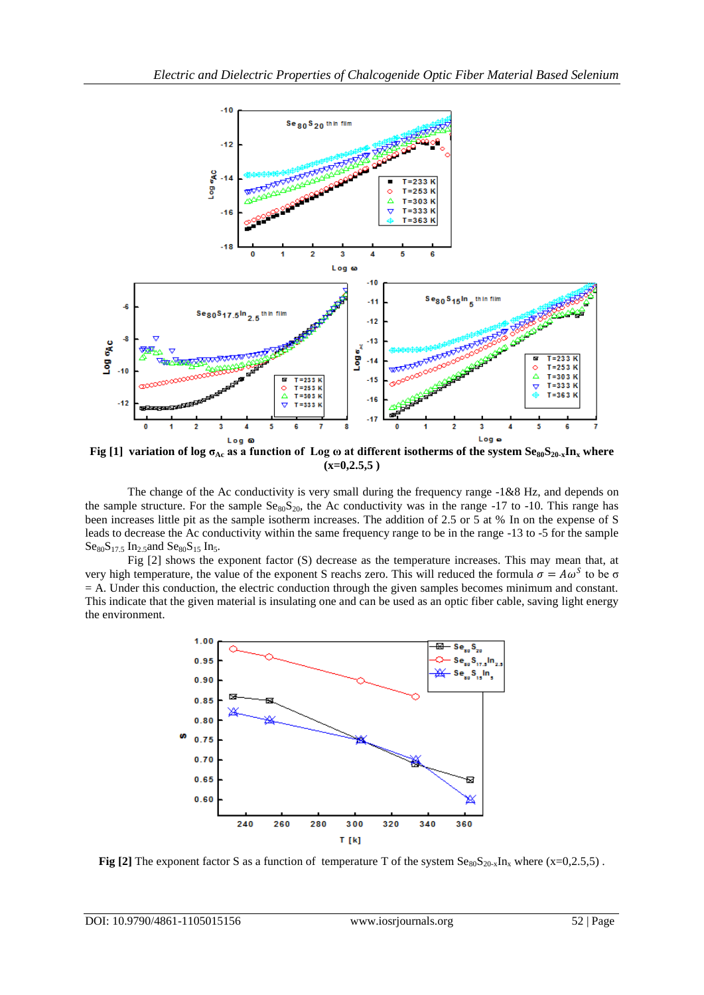

**Fig** [1] variation of log  $\sigma_{Ac}$  as a function of Log  $\omega$  at different isotherms of the system  $Se_{80}S_{20-x}In_x$  where **(x=0,2.5,5 )**

The change of the Ac conductivity is very small during the frequency range -1&8 Hz, and depends on the sample structure. For the sample  $Se_{80}S_{20}$ , the Ac conductivity was in the range -17 to -10. This range has been increases little pit as the sample isotherm increases. The addition of 2.5 or 5 at % In on the expense of S leads to decrease the Ac conductivity within the same frequency range to be in the range -13 to -5 for the sample  $Ses_0S_{17}$  5 In<sub>2</sub> 5and  $Ses_0S_{15}$  In<sub>5</sub>.

Fig [2] shows the exponent factor (S) decrease as the temperature increases. This may mean that, at very high temperature, the value of the exponent S reachs zero. This will reduced the formula  $\sigma = A\omega^S$  to be  $\sigma$ = A. Under this conduction, the electric conduction through the given samples becomes minimum and constant. This indicate that the given material is insulating one and can be used as an optic fiber cable, saving light energy the environment.



**Fig [2]** The exponent factor S as a function of temperature T of the system  $Se_{80}S_{20-x}In_x$  where (x=0,2.5,5).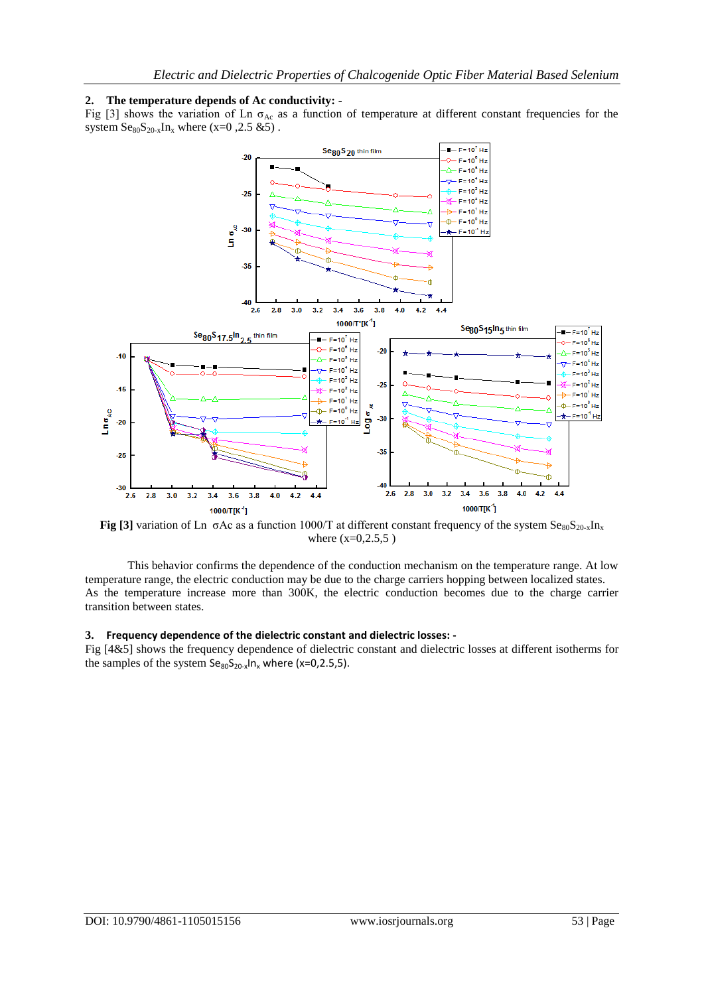### **2. The temperature depends of Ac conductivity: -**

Fig [3] shows the variation of Ln  $\sigma_{Ac}$  as a function of temperature at different constant frequencies for the system  ${\rm Se}_{80}S_{20-x}In_x$  where (x=0,2.5 &5).



**Fig [3]** variation of Ln  $\sigma$ Ac as a function 1000/T at different constant frequency of the system  $\text{Se}_{80}\text{S}_{20-x}\text{In}_x$ where  $(x=0, 2.5, 5)$ 

This behavior confirms the dependence of the conduction mechanism on the temperature range. At low temperature range, the electric conduction may be due to the charge carriers hopping between localized states. As the temperature increase more than 300K, the electric conduction becomes due to the charge carrier transition between states.

### **3. Frequency dependence of the dielectric constant and dielectric losses: -**

Fig [4&5] shows the frequency dependence of dielectric constant and dielectric losses at different isotherms for the samples of the system  $Se_{80}S_{20-x}ln_x$  where (x=0,2.5,5).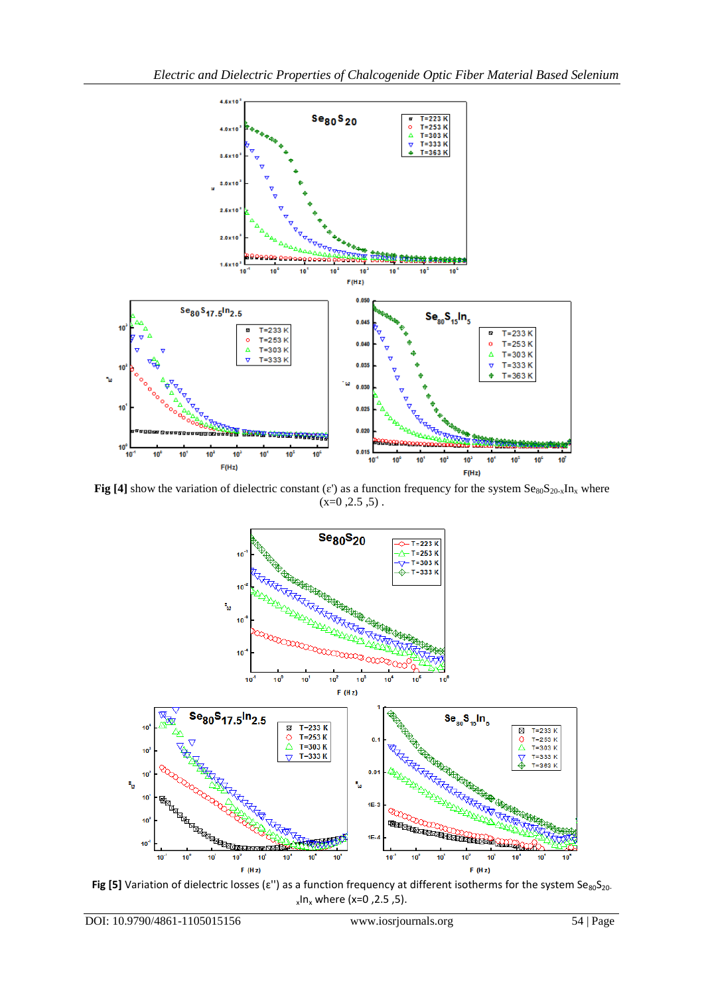

**Fig [4]** show the variation of dielectric constant ( $\varepsilon$ ) as a function frequency for the system  $\text{Se}_{80}\text{S}_{20-x}\text{In}_x$  where  $(x=0, 2.5, 5)$ .



Fig [5] Variation of dielectric losses ( $\varepsilon$ ") as a function frequency at different isotherms for the system Se<sub>80</sub>S<sub>20</sub>. x In<sup>x</sup> where (x=0 ,2.5 ,5).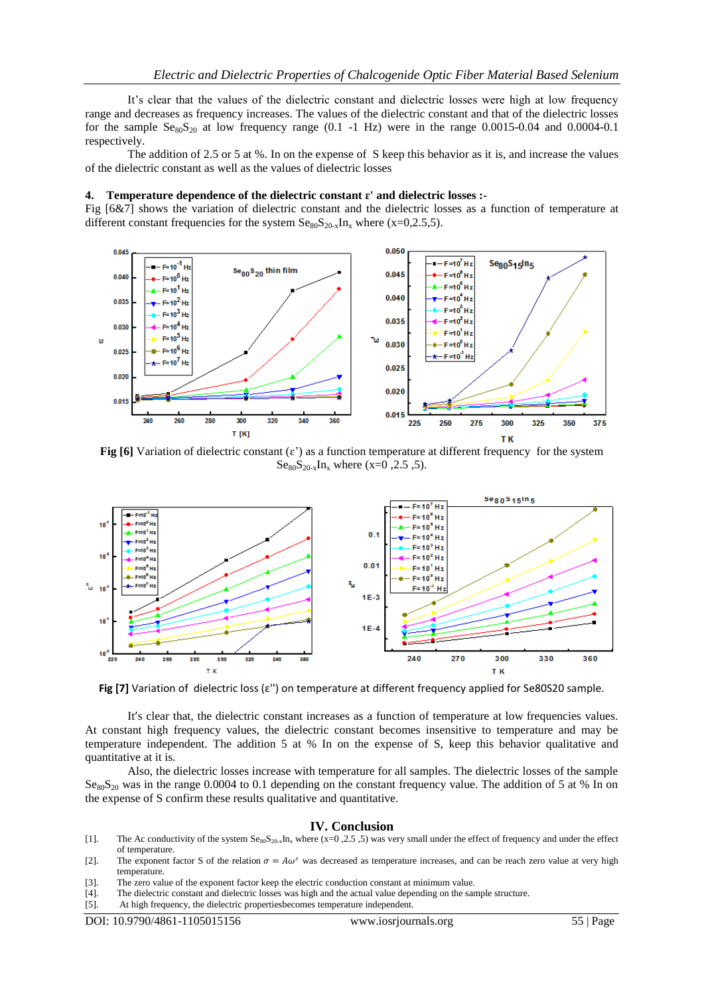It's clear that the values of the dielectric constant and dielectric losses were high at low frequency range and decreases as frequency increases. The values of the dielectric constant and that of the dielectric losses for the sample  $S_{80}S_{20}$  at low frequency range (0.1 -1 Hz) were in the range 0.0015-0.04 and 0.0004-0.1 respectively.

The addition of 2.5 or 5 at %. In on the expense of S keep this behavior as it is, and increase the values of the dielectric constant as well as the values of dielectric losses

#### **4. Temperature dependence of the dielectric constant ɛ' and dielectric losses :-**

Fig [6&7] shows the variation of dielectric constant and the dielectric losses as a function of temperature at different constant frequencies for the system  $Se_{80}S_{20-x}In_x$  where (x=0,2.5,5).



**Fig [6]** Variation of dielectric constant ( $\varepsilon$ ) as a function temperature at different frequency for the system  $Se_{80}S_{20-x}In_x$  where (x=0,2.5,5).



**Fig [7]** Variation of dielectric loss (ɛ'') on temperature at different frequency applied for Se80S20 sample.

It's clear that, the dielectric constant increases as a function of temperature at low frequencies values. At constant high frequency values, the dielectric constant becomes insensitive to temperature and may be temperature independent. The addition 5 at % In on the expense of S, keep this behavior qualitative and quantitative at it is.

Also, the dielectric losses increase with temperature for all samples. The dielectric losses of the sample Se<sub>80</sub>S<sub>20</sub> was in the range 0.0004 to 0.1 depending on the constant frequency value. The addition of 5 at % In on the expense of S confirm these results qualitative and quantitative.

#### **IV. Conclusion**

- [1]. The Ac conductivity of the system  $S_{80}S_{20-x}In_x$  where (x=0,2.5, 5) was very small under the effect of frequency and under the effect of temperature.
- [2]. The exponent factor S of the relation  $\sigma = A\omega^s$  was decreased as temperature increases, and can be reach zero value at very high temperature.
- [3]. The zero value of the exponent factor keep the electric conduction constant at minimum value.
- [4]. The dielectric constant and dielectric losses was high and the actual value depending on the sample structure.
- [5]. At high frequency, the dielectric propertiesbecomes temperature independent.